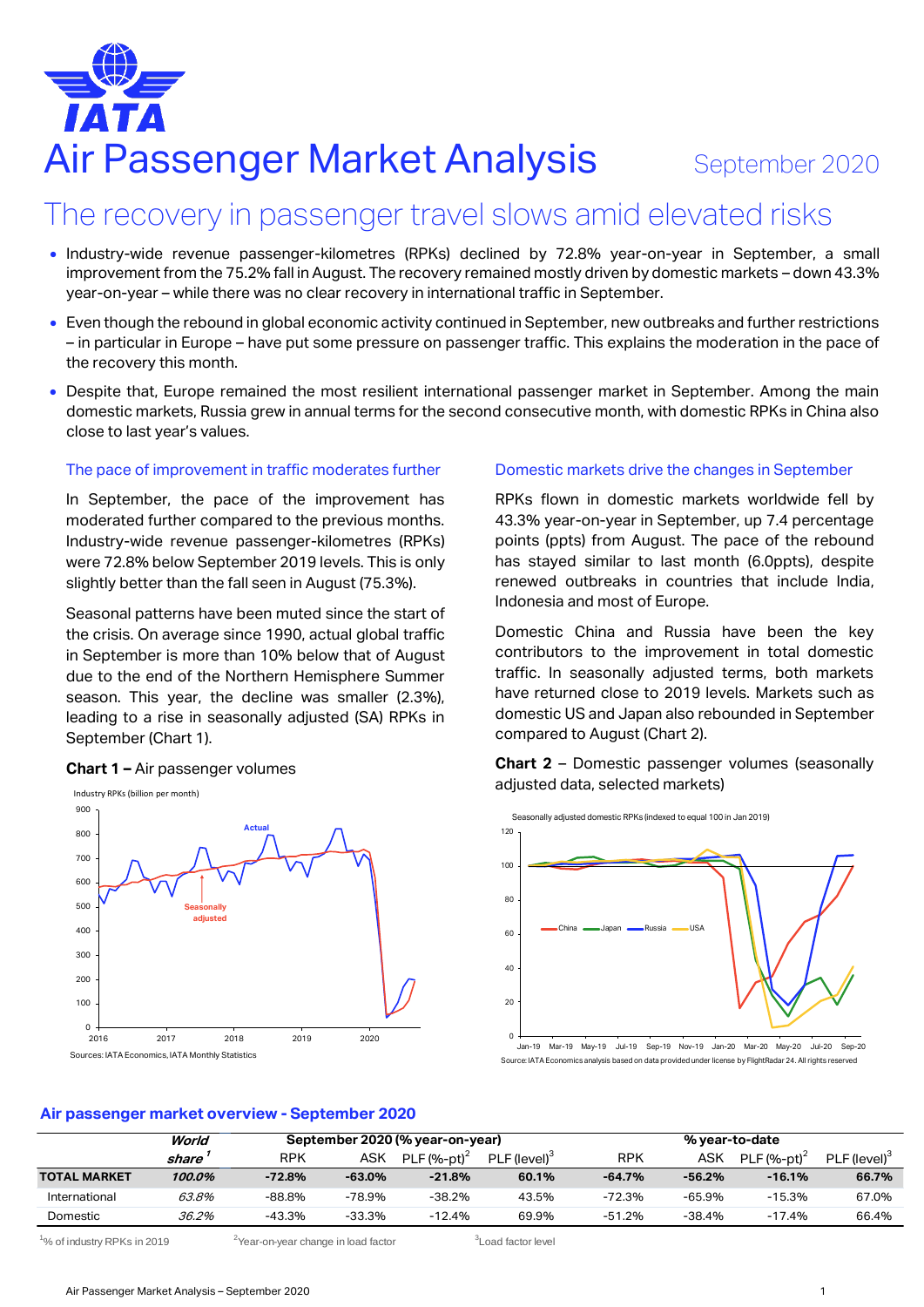# Air Passenger Market Analysis September 2020

# The recovery in passenger travel slows amid elevated risks

- Industry-wide revenue passenger-kilometres (RPKs) declined by 72.8% year-on-year in September, a small improvement from the 75.2% fall in August. The recovery remained mostly driven by domestic markets – down 43.3% year-on-year – while there was no clear recovery in international traffic in September.
- Even though the rebound in global economic activity continued in September, new outbreaks and further restrictions – in particular in Europe – have put some pressure on passenger traffic. This explains the moderation in the pace of the recovery this month.
- Despite that, Europe remained the most resilient international passenger market in September. Among the main domestic markets, Russia grew in annual terms for the second consecutive month, with domestic RPKs in China also close to last year's values.

#### The pace of improvement in traffic moderates further

In September, the pace of the improvement has moderated further compared to the previous months. Industry-wide revenue passenger-kilometres (RPKs) were 72.8% below September 2019 levels. This is only slightly better than the fall seen in August (75.3%).

Seasonal patterns have been muted since the start of the crisis. On average since 1990, actual global traffic in September is more than 10% below that of August due to the end of the Northern Hemisphere Summer season. This year, the decline was smaller (2.3%), leading to a rise in seasonally adjusted (SA) RPKs in September (Chart 1).

#### 0 100 200 300 400 500 600 700 800 900 2016 2017 2018 2019 2020 Industry RPKs (billion per month) **Actual Seasonally adjusted** Sources: IATA Economics, IATA Monthly Statistics

# **Chart 1 –** Air passenger volumes

## Domestic markets drive the changes in September

RPKs flown in domestic markets worldwide fell by 43.3% year-on-year in September, up 7.4 percentage points (ppts) from August. The pace of the rebound has stayed similar to last month (6.0ppts), despite renewed outbreaks in countries that include India, Indonesia and most of Europe.

Domestic China and Russia have been the key contributors to the improvement in total domestic traffic. In seasonally adjusted terms, both markets have returned close to 2019 levels. Markets such as domestic US and Japan also rebounded in September compared to August (Chart 2).

**Chart 2** – Domestic passenger volumes (seasonally adjusted data, selected markets)



Jan-19 Mar-19 May-19 Jul-19 Sep-19 Nov-19 Jan-20 Mar-20 May-20 Jul-20 Sep-20 Source: IATA Economics analysis based on data provided under license by FlightRadar 24. All rights reserved

### **Air passenger market overview - September 2020**

|                     | World  | September 2020 (% year-on-year) |           |                |                          | % year-to-date |          |                |                          |
|---------------------|--------|---------------------------------|-----------|----------------|--------------------------|----------------|----------|----------------|--------------------------|
|                     | share  | RPK                             | ASK       | PLF $(%-pt)^2$ | PLF (level) <sup>3</sup> | RPK            | ASK      | PLF $(%-pt)^2$ | PLF (level) <sup>3</sup> |
| <b>TOTAL MARKET</b> | 100.0% | $-72.8%$                        | $-63.0\%$ | $-21.8%$       | 60.1%                    | $-64.7%$       | $-56.2%$ | $-16.1%$       | 66.7%                    |
| International       | 63.8%  | -88.8%                          | -78.9%    | -38.2%         | 43.5%                    | $-72.3%$       | $-65.9%$ | $-15.3%$       | 67.0%                    |
| Domestic            | 36.2%  | -43.3%                          | -33.3%    | $-12.4%$       | 69.9%                    | $-51.2%$       | -38.4%   | $-17.4%$       | 66.4%                    |

<sup>1</sup>% of industry RPKs in 2019  $2019$  <sup>2</sup>Year-on-year change in load factor

<sup>3</sup> Load factor level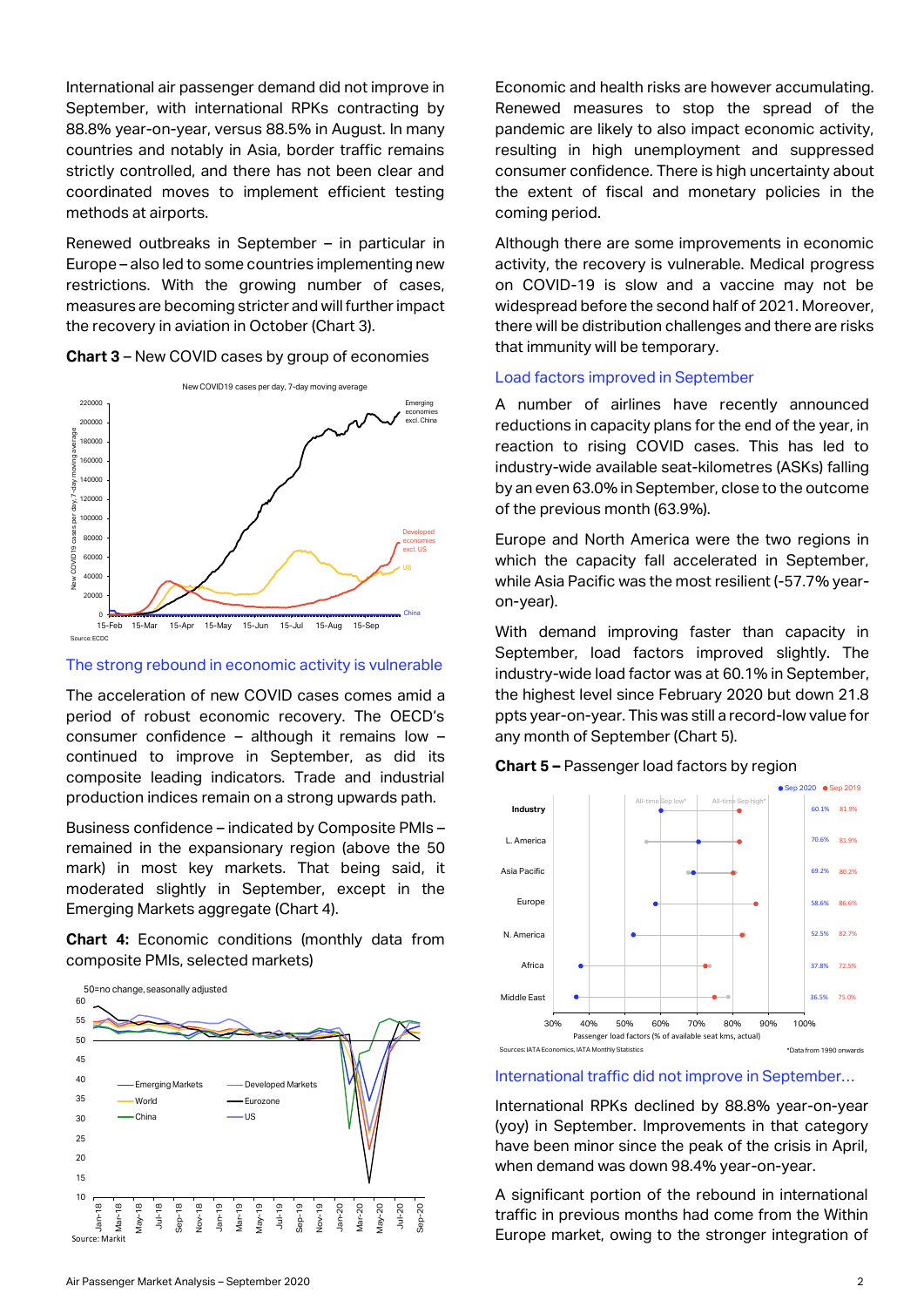International air passenger demand did not improve in September, with international RPKs contracting by 88.8% year-on-year, versus 88.5% in August. In many countries and notably in Asia, border traffic remains strictly controlled, and there has not been clear and coordinated moves to implement efficient testing methods at airports.

Renewed outbreaks in September – in particular in Europe – also led to some countries implementing new restrictions. With the growing number of cases, measures are becoming stricter and will further impact the recovery in aviation in October (Chart 3).





#### The strong rebound in economic activity is vulnerable

The acceleration of new COVID cases comes amid a period of robust economic recovery. The OECD's consumer confidence – although it remains low – continued to improve in September, as did its composite leading indicators. Trade and industrial production indices remain on a strong upwards path.

Business confidence – indicated by Composite PMIs – remained in the expansionary region (above the 50 mark) in most key markets. That being said, it moderated slightly in September, except in the Emerging Markets aggregate (Chart 4).

**Chart 4:** Economic conditions (monthly data from composite PMIs, selected markets)



Economic and health risks are however accumulating. Renewed measures to stop the spread of the pandemic are likely to also impact economic activity, resulting in high unemployment and suppressed consumer confidence. There is high uncertainty about the extent of fiscal and monetary policies in the coming period.

Although there are some improvements in economic activity, the recovery is vulnerable. Medical progress on COVID-19 is slow and a vaccine may not be widespread before the second half of 2021. Moreover, there will be distribution challenges and there are risks that immunity will be temporary.

#### Load factors improved in September

A number of airlines have recently announced reductions in capacity plans for the end of the year, in reaction to rising COVID cases. This has led to industry-wide available seat-kilometres (ASKs) falling by an even 63.0% in September, close to the outcome of the previous month (63.9%).

Europe and North America were the two regions in which the capacity fall accelerated in September, while Asia Pacific was the most resilient (-57.7% yearon-year).

With demand improving faster than capacity in September, load factors improved slightly. The industry-wide load factor was at 60.1% in September, the highest level since February 2020 but down 21.8 ppts year-on-year. This was still a record-low value for any month of September (Chart 5).





#### International traffic did not improve in September…

International RPKs declined by 88.8% year-on-year (yoy) in September. Improvements in that category have been minor since the peak of the crisis in April, when demand was down 98.4% year-on-year.

A significant portion of the rebound in international traffic in previous months had come from the Within Europe market, owing to the stronger integration of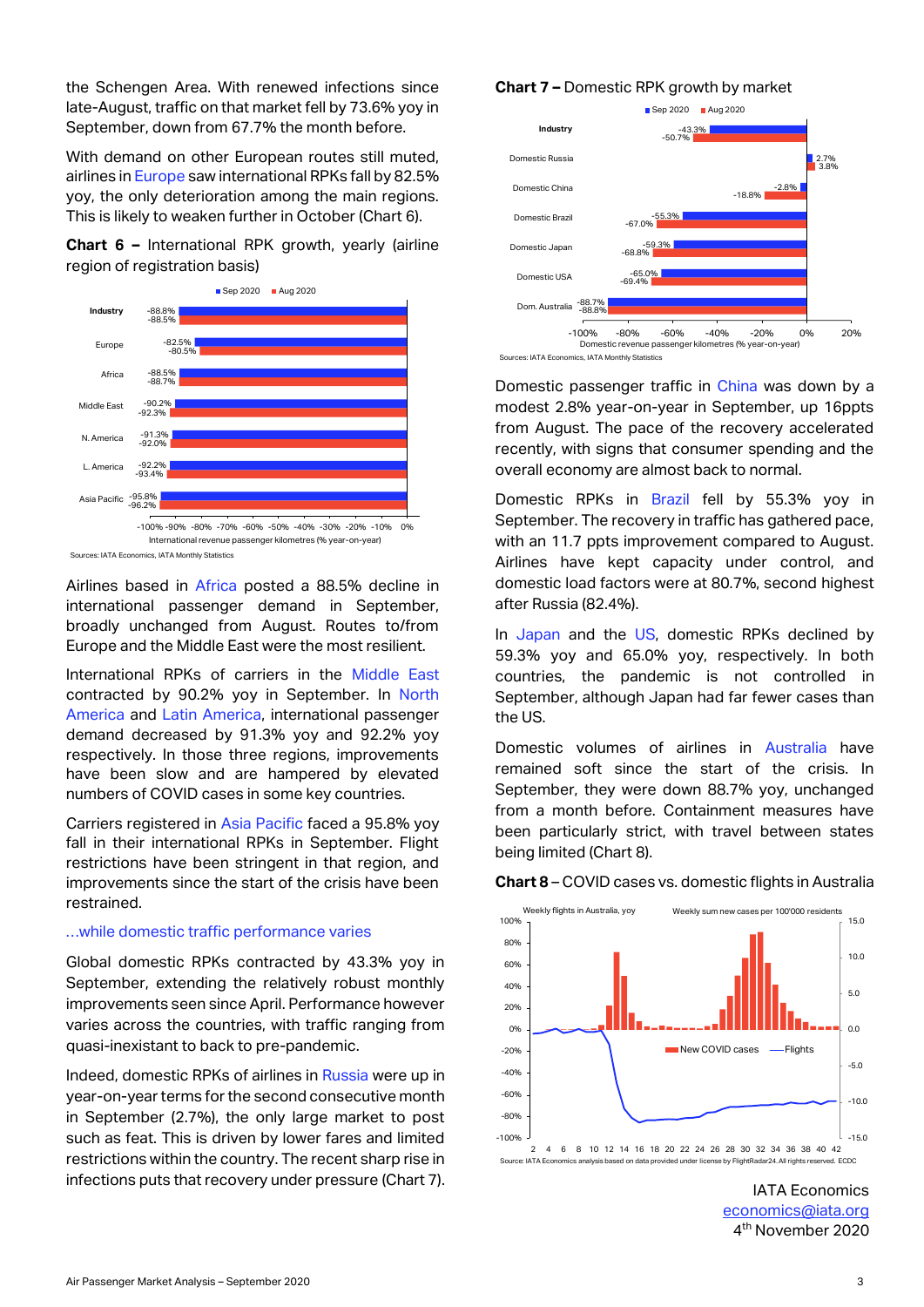the Schengen Area. With renewed infections since late-August, traffic on that market fell by 73.6% yoy in September, down from 67.7% the month before.

With demand on other European routes still muted, airlines in Europe saw international RPKs fall by 82.5% yoy, the only deterioration among the main regions. This is likely to weaken further in October (Chart 6).

# **Chart 6 –** International RPK growth, yearly (airline region of registration basis)



Sources: IATA Economics, IATA Monthly Statistics

Airlines based in Africa posted a 88.5% decline in international passenger demand in September, broadly unchanged from August. Routes to/from Europe and the Middle East were the most resilient.

International RPKs of carriers in the Middle East contracted by 90.2% yoy in September. In North America and Latin America, international passenger demand decreased by 91.3% yoy and 92.2% yoy respectively. In those three regions, improvements have been slow and are hampered by elevated numbers of COVID cases in some key countries.

Carriers registered in Asia Pacific faced a 95.8% yoy fall in their international RPKs in September. Flight restrictions have been stringent in that region, and improvements since the start of the crisis have been restrained.

#### …while domestic traffic performance varies

Global domestic RPKs contracted by 43.3% yoy in September, extending the relatively robust monthly improvements seen since April. Performance however varies across the countries, with traffic ranging from quasi-inexistant to back to pre-pandemic.

Indeed, domestic RPKs of airlines in Russia were up in year-on-year terms for the second consecutive month in September (2.7%), the only large market to post such as feat. This is driven by lower fares and limited restrictions within the country. The recent sharp rise in infections puts that recovery under pressure (Chart 7).





Sources: IATA Economics, IATA Monthly Statistics

Domestic passenger traffic in China was down by a modest 2.8% year-on-year in September, up 16ppts from August. The pace of the recovery accelerated recently, with signs that consumer spending and the overall economy are almost back to normal.

Domestic RPKs in Brazil fell by 55.3% yoy in September. The recovery in traffic has gathered pace, with an 11.7 ppts improvement compared to August. Airlines have kept capacity under control, and domestic load factors were at 80.7%, second highest after Russia (82.4%).

In Japan and the US, domestic RPKs declined by 59.3% yoy and 65.0% yoy, respectively. In both countries, the pandemic is not controlled in September, although Japan had far fewer cases than the US.

Domestic volumes of airlines in Australia have remained soft since the start of the crisis. In September, they were down 88.7% yoy, unchanged from a month before. Containment measures have been particularly strict, with travel between states being limited (Chart 8).

#### **Chart 8** – COVID cases vs. domestic flights in Australia



IATA Economics [economics@iata.org](mailto:economics@iata.org) 4 th November 2020